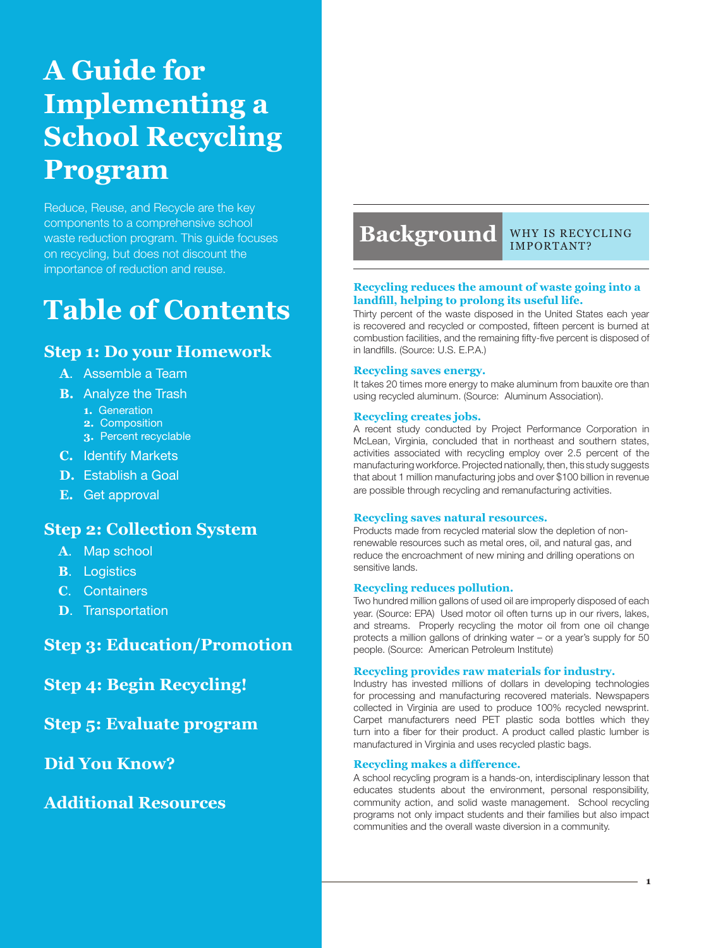# **A Guide for Implementing a School Recycling Program**

Reduce, Reuse, and Recycle are the key components to a comprehensive school waste reduction program. This guide focuses on recycling, but does not discount the importance of reduction and reuse.

# **Table of Contents**

# **Step 1: Do your Homework**

- **A**. Assemble a Team
- **B.** Analyze the Trash
	- **1.** Generation
	- **2.** Composition
	- **3.** Percent recyclable
- **C.** Identify Markets
- **D.** Establish a Goal
- **E.** Get approval

# **Step 2: Collection System**

- **A**. Map school
- **B**. Logistics
- **C**. Containers
- **D**. Transportation

**Step 3: Education/Promotion**

**Step 4: Begin Recycling!**

**Step 5: Evaluate program**

**Did You Know?**

**Additional Resources**

# **Background**

Why is recycling important?

#### **Recycling reduces the amount of waste going into a landfill, helping to prolong its useful life.**

Thirty percent of the waste disposed in the United States each year is recovered and recycled or composted, fifteen percent is burned at combustion facilities, and the remaining fifty-five percent is disposed of in landfills. (Source: U.S. E.P.A.)

#### **Recycling saves energy.**

It takes 20 times more energy to make aluminum from bauxite ore than using recycled aluminum. (Source: Aluminum Association).

#### **Recycling creates jobs.**

A recent study conducted by Project Performance Corporation in McLean, Virginia, concluded that in northeast and southern states, activities associated with recycling employ over 2.5 percent of the manufacturing workforce. Projected nationally, then, this study suggests that about 1 million manufacturing jobs and over \$100 billion in revenue are possible through recycling and remanufacturing activities.

#### **Recycling saves natural resources.**

Products made from recycled material slow the depletion of nonrenewable resources such as metal ores, oil, and natural gas, and reduce the encroachment of new mining and drilling operations on sensitive lands.

#### **Recycling reduces pollution.**

Two hundred million gallons of used oil are improperly disposed of each year. (Source: EPA) Used motor oil often turns up in our rivers, lakes, and streams. Properly recycling the motor oil from one oil change protects a million gallons of drinking water – or a year's supply for 50 people. (Source: American Petroleum Institute)

#### **Recycling provides raw materials for industry.**

Industry has invested millions of dollars in developing technologies for processing and manufacturing recovered materials. Newspapers collected in Virginia are used to produce 100% recycled newsprint. Carpet manufacturers need PET plastic soda bottles which they turn into a fiber for their product. A product called plastic lumber is manufactured in Virginia and uses recycled plastic bags.

#### **Recycling makes a difference.**

A school recycling program is a hands-on, interdisciplinary lesson that educates students about the environment, personal responsibility, community action, and solid waste management. School recycling programs not only impact students and their families but also impact communities and the overall waste diversion in a community.

**1**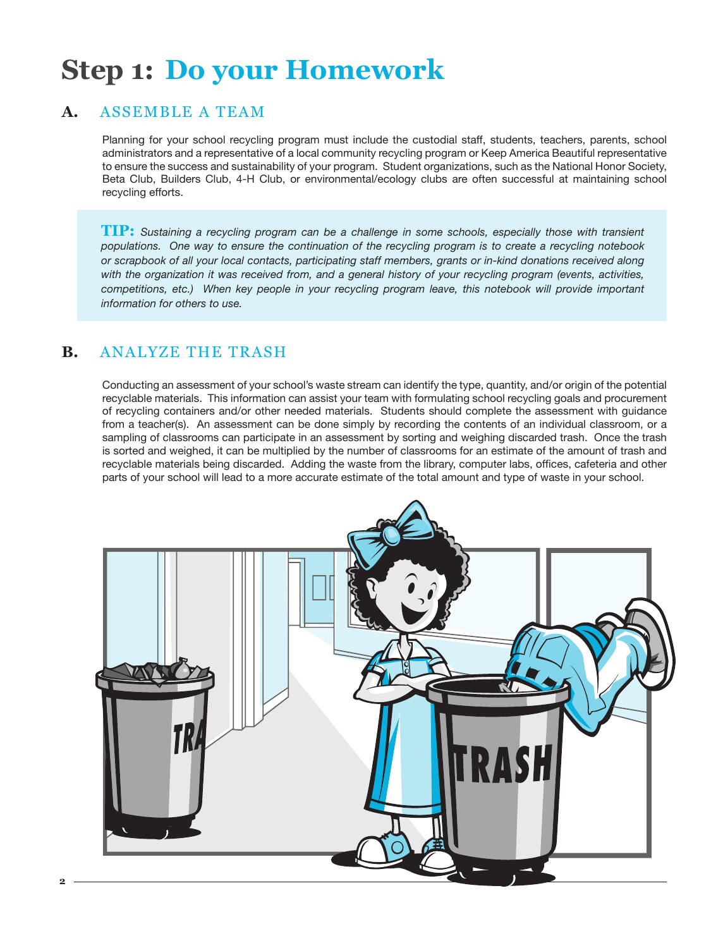# **Step 1: Do your Homework**

# **A.** Assemble a Team

Planning for your school recycling program must include the custodial staff, students, teachers, parents, school administrators and a representative of a local community recycling program or Keep America Beautiful representative to ensure the success and sustainability of your program. Student organizations, such as the National Honor Society, Beta Club, Builders Club, 4-H Club, or environmental/ecology clubs are often successful at maintaining school recycling efforts.

**TIP:** *Sustaining a recycling program can be a challenge in some schools, especially those with transient populations. One way to ensure the continuation of the recycling program is to create a recycling notebook or scrapbook of all your local contacts, participating staff members, grants or in-kind donations received along with the organization it was received from, and a general history of your recycling program (events, activities, competitions, etc.) When key people in your recycling program leave, this notebook will provide important information for others to use.*

# **B.** Analyze the Trash

Conducting an assessment of your school's waste stream can identify the type, quantity, and/or origin of the potential recyclable materials. This information can assist your team with formulating school recycling goals and procurement of recycling containers and/or other needed materials. Students should complete the assessment with guidance from a teacher(s). An assessment can be done simply by recording the contents of an individual classroom, or a sampling of classrooms can participate in an assessment by sorting and weighing discarded trash. Once the trash is sorted and weighed, it can be multiplied by the number of classrooms for an estimate of the amount of trash and recyclable materials being discarded. Adding the waste from the library, computer labs, offices, cafeteria and other parts of your school will lead to a more accurate estimate of the total amount and type of waste in your school.

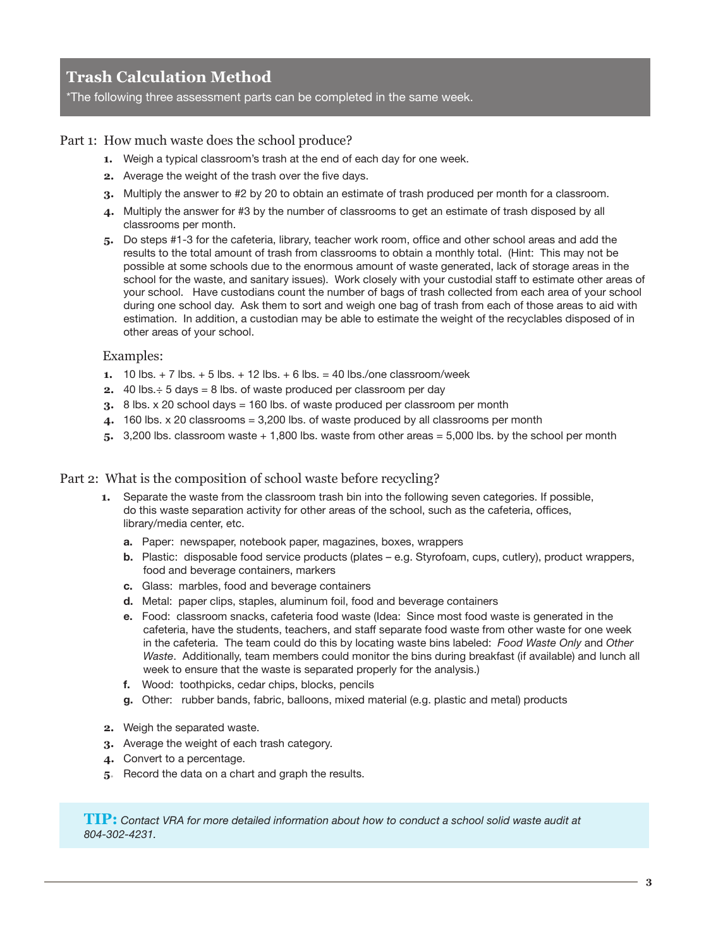# **Trash Calculation Method**

\*The following three assessment parts can be completed in the same week.

### Part 1: How much waste does the school produce?

- **1.** Weigh a typical classroom's trash at the end of each day for one week.
- **2.** Average the weight of the trash over the five days.
- **3.** Multiply the answer to #2 by 20 to obtain an estimate of trash produced per month for a classroom.
- **4.** Multiply the answer for #3 by the number of classrooms to get an estimate of trash disposed by all classrooms per month.
- **5.** Do steps #1-3 for the cafeteria, library, teacher work room, office and other school areas and add the results to the total amount of trash from classrooms to obtain a monthly total. (Hint: This may not be possible at some schools due to the enormous amount of waste generated, lack of storage areas in the school for the waste, and sanitary issues). Work closely with your custodial staff to estimate other areas of your school. Have custodians count the number of bags of trash collected from each area of your school during one school day. Ask them to sort and weigh one bag of trash from each of those areas to aid with estimation. In addition, a custodian may be able to estimate the weight of the recyclables disposed of in other areas of your school.

#### Examples:

- **1.** 10 lbs.  $+ 7$  lbs.  $+ 5$  lbs.  $+ 12$  lbs.  $+ 6$  lbs.  $= 40$  lbs./one classroom/week
- **2.** 40 lbs.÷ 5 days = 8 lbs. of waste produced per classroom per day
- **3.** 8 lbs. x 20 school days = 160 lbs. of waste produced per classroom per month
- **4.** 160 lbs. x 20 classrooms = 3,200 lbs. of waste produced by all classrooms per month
- **5.** 3,200 lbs. classroom waste + 1,800 lbs. waste from other areas = 5,000 lbs. by the school per month

#### Part 2: What is the composition of school waste before recycling?

- **1.** Separate the waste from the classroom trash bin into the following seven categories. If possible, do this waste separation activity for other areas of the school, such as the cafeteria, offices, library/media center, etc.
	- **a.** Paper: newspaper, notebook paper, magazines, boxes, wrappers
	- **b.** Plastic: disposable food service products (plates e.g. Styrofoam, cups, cutlery), product wrappers, food and beverage containers, markers
	- **c.** Glass: marbles, food and beverage containers
	- **d.** Metal: paper clips, staples, aluminum foil, food and beverage containers
	- **e.** Food: classroom snacks, cafeteria food waste (Idea: Since most food waste is generated in the cafeteria, have the students, teachers, and staff separate food waste from other waste for one week in the cafeteria. The team could do this by locating waste bins labeled: *Food Waste Only* and *Other Waste*. Additionally, team members could monitor the bins during breakfast (if available) and lunch all week to ensure that the waste is separated properly for the analysis.)
	- **f.** Wood: toothpicks, cedar chips, blocks, pencils
	- **g.** Other: rubber bands, fabric, balloons, mixed material (e.g. plastic and metal) products
- **2.** Weigh the separated waste.
- **3.** Average the weight of each trash category.
- **4.** Convert to a percentage.
- **5.** Record the data on a chart and graph the results.

**TIP:** *Contact VRA for more detailed information about how to conduct a school solid waste audit at 804-302-4231.*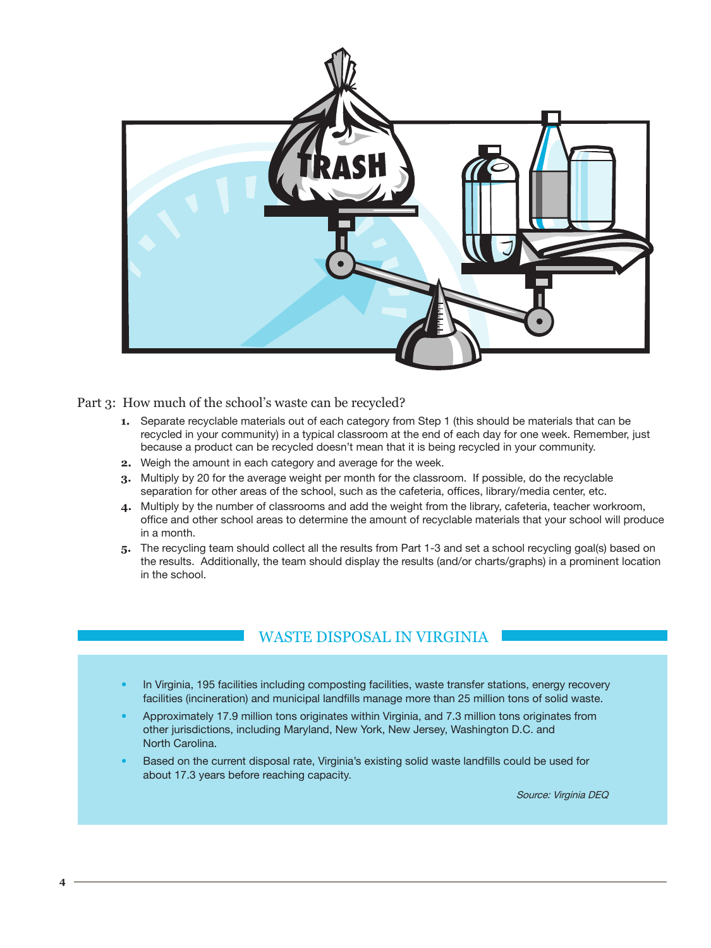

Part 3: How much of the school's waste can be recycled?

- **1.** Separate recyclable materials out of each category from Step 1 (this should be materials that can be recycled in your community) in a typical classroom at the end of each day for one week. Remember, just because a product can be recycled doesn't mean that it is being recycled in your community.
- **2.** Weigh the amount in each category and average for the week.
- **3.** Multiply by 20 for the average weight per month for the classroom. If possible, do the recyclable separation for other areas of the school, such as the cafeteria, offices, library/media center, etc.
- **4.** Multiply by the number of classrooms and add the weight from the library, cafeteria, teacher workroom, office and other school areas to determine the amount of recyclable materials that your school will produce in a month.
- **5.** The recycling team should collect all the results from Part 1-3 and set a school recycling goal(s) based on the results. Additionally, the team should display the results (and/or charts/graphs) in a prominent location in the school.

# WASTE DISPOSAL IN VIRGINIA

- In Virginia, 195 facilities including composting facilities, waste transfer stations, energy recovery facilities (incineration) and municipal landfills manage more than 25 million tons of solid waste.
- Approximately 17.9 million tons originates within Virginia, and 7.3 million tons originates from other jurisdictions, including Maryland, New York, New Jersey, Washington D.C. and North Carolina.
- Based on the current disposal rate, Virginia's existing solid waste landfills could be used for about 17.3 years before reaching capacity.

Source: Virginia DEQ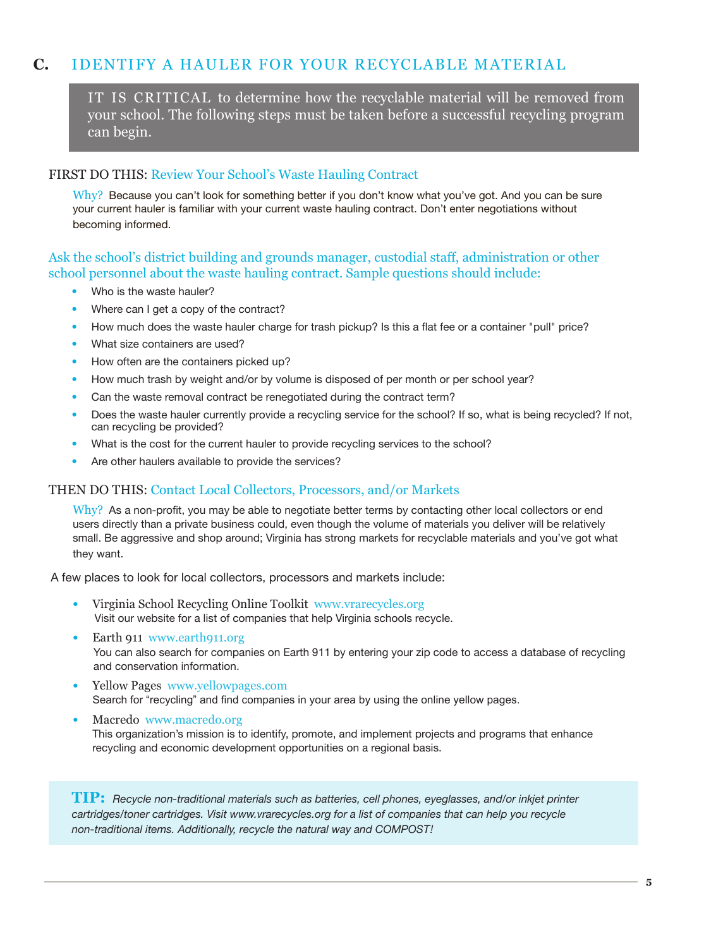# **C.** IDENTIFY A HAULER FOR YOUR RECYCLABLE MATERIAL

IT IS CRITICAL to determine how the recyclable material will be removed from your school. The following steps must be taken before a successful recycling program can begin.

#### FIRST DO THIS: Review Your School's Waste Hauling Contract

 $Why?$  Because you can't look for something better if you don't know what you've got. And you can be sure your current hauler is familiar with your current waste hauling contract. Don't enter negotiations without becoming informed.

### Ask the school's district building and grounds manager, custodial staff, administration or other school personnel about the waste hauling contract. Sample questions should include:

- Who is the waste hauler?
- Where can I get a copy of the contract?
- How much does the waste hauler charge for trash pickup? Is this a flat fee or a container "pull" price?
- What size containers are used?
- How often are the containers picked up?
- How much trash by weight and/or by volume is disposed of per month or per school year?
- Can the waste removal contract be renegotiated during the contract term?
- Does the waste hauler currently provide a recycling service for the school? If so, what is being recycled? If not, can recycling be provided?
- What is the cost for the current hauler to provide recycling services to the school?
- Are other haulers available to provide the services?

### THEN DO THIS: Contact Local Collectors, Processors, and/or Markets

Why? As a non-profit, you may be able to negotiate better terms by contacting other local collectors or end users directly than a private business could, even though the volume of materials you deliver will be relatively small. Be aggressive and shop around; Virginia has strong markets for recyclable materials and you've got what they want.

A few places to look for local collectors, processors and markets include:

- Virginia School Recycling Online Toolkit www.vrarecycles.org Visit our website for a list of companies that help Virginia schools recycle.
- Earth 911 www.earth911.org You can also search for companies on Earth 911 by entering your zip code to access a database of recycling and conservation information.
- Yellow Pages www.yellowpages.com Search for "recycling" and find companies in your area by using the online yellow pages.
- Macredo www.macredo.org This organization's mission is to identify, promote, and implement projects and programs that enhance recycling and economic development opportunities on a regional basis.

**TIP:** *Recycle non-traditional materials such as batteries, cell phones, eyeglasses, and/or inkjet printer cartridges/toner cartridges. Visit www.vrarecycles.org for a list of companies that can help you recycle non-traditional items. Additionally, recycle the natural way and COMPOST!*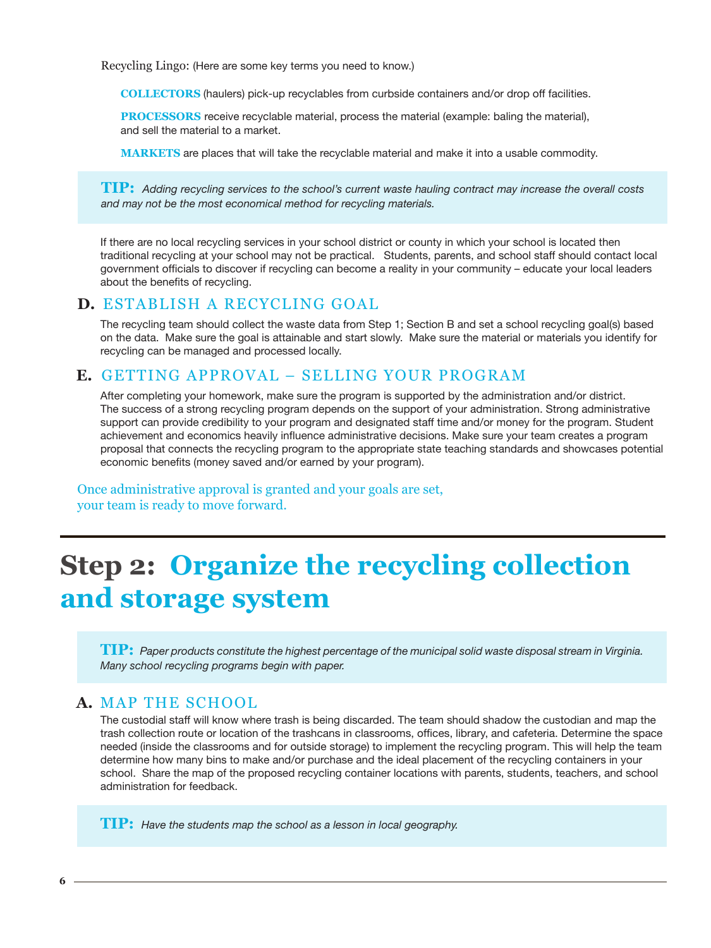Recycling Lingo: (Here are some key terms you need to know.)

**Collectors** (haulers) pick-up recyclables from curbside containers and/or drop off facilities.

**PROCESSORS** receive recyclable material, process the material (example: baling the material), and sell the material to a market.

**MARKETS** are places that will take the recyclable material and make it into a usable commodity.

**TIP:** *Adding recycling services to the school's current waste hauling contract may increase the overall costs and may not be the most economical method for recycling materials.*

If there are no local recycling services in your school district or county in which your school is located then traditional recycling at your school may not be practical. Students, parents, and school staff should contact local government officials to discover if recycling can become a reality in your community – educate your local leaders about the benefits of recycling.

# **D.** Establish a Recycling Goal

The recycling team should collect the waste data from Step 1; Section B and set a school recycling goal(s) based on the data. Make sure the goal is attainable and start slowly. Make sure the material or materials you identify for recycling can be managed and processed locally.

# **E.** Getting Approval – Selling your Program

After completing your homework, make sure the program is supported by the administration and/or district. The success of a strong recycling program depends on the support of your administration. Strong administrative support can provide credibility to your program and designated staff time and/or money for the program. Student achievement and economics heavily influence administrative decisions. Make sure your team creates a program proposal that connects the recycling program to the appropriate state teaching standards and showcases potential economic benefits (money saved and/or earned by your program).

Once administrative approval is granted and your goals are set, your team is ready to move forward.

# **Step 2: Organize the recycling collection and storage system**

**TIP:** *Paper products constitute the highest percentage of the municipal solid waste disposal stream in Virginia. Many school recycling programs begin with paper.*

# **A.** Map the School

The custodial staff will know where trash is being discarded. The team should shadow the custodian and map the trash collection route or location of the trashcans in classrooms, offices, library, and cafeteria. Determine the space needed (inside the classrooms and for outside storage) to implement the recycling program. This will help the team determine how many bins to make and/or purchase and the ideal placement of the recycling containers in your school. Share the map of the proposed recycling container locations with parents, students, teachers, and school administration for feedback.

**TIP:** *Have the students map the school as a lesson in local geography.*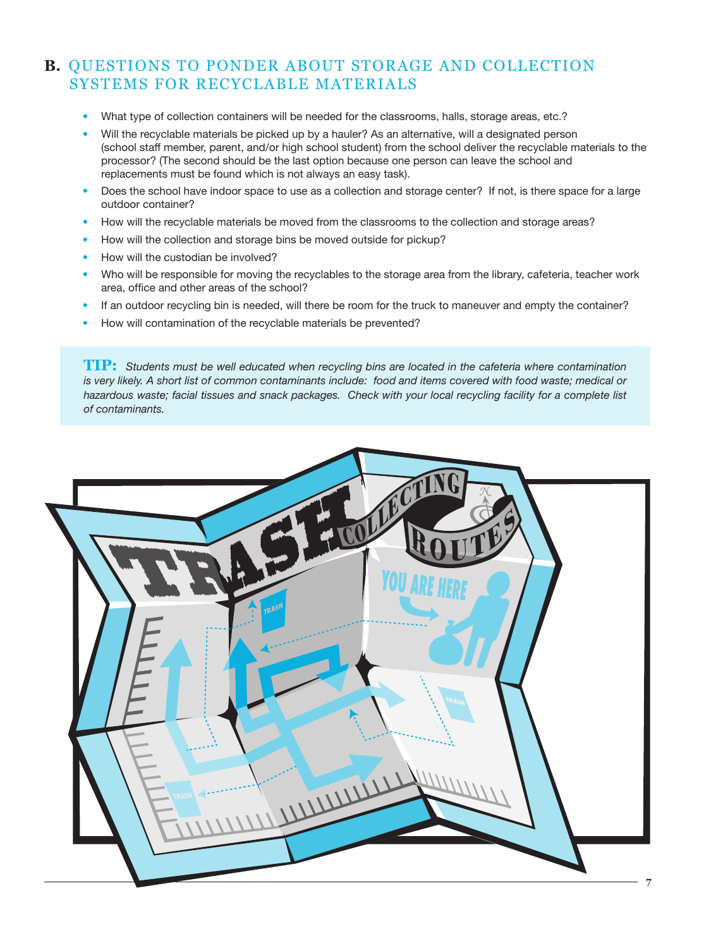# **B.** Questions to ponder about storage and collection systems for recyclable materials

- What type of collection containers will be needed for the classrooms, halls, storage areas, etc.?
- Will the recyclable materials be picked up by a hauler? As an alternative, will a designated person (school staff member, parent, and/or high school student) from the school deliver the recyclable materials to the processor? (The second should be the last option because one person can leave the school and replacements must be found which is not always an easy task).
- Does the school have indoor space to use as a collection and storage center? If not, is there space for a large outdoor container?
- How will the recyclable materials be moved from the classrooms to the collection and storage areas?
- How will the collection and storage bins be moved outside for pickup?
- How will the custodian be involved?
- Who will be responsible for moving the recyclables to the storage area from the library, cafeteria, teacher work area, office and other areas of the school?
- If an outdoor recycling bin is needed, will there be room for the truck to maneuver and empty the container?
- How will contamination of the recyclable materials be prevented?

**TIP:** *Students must be well educated when recycling bins are located in the cafeteria where contamination is very likely. A short list of common contaminants include: food and items covered with food waste; medical or hazardous waste; facial tissues and snack packages. Check with your local recycling facility for a complete list of contaminants.* 

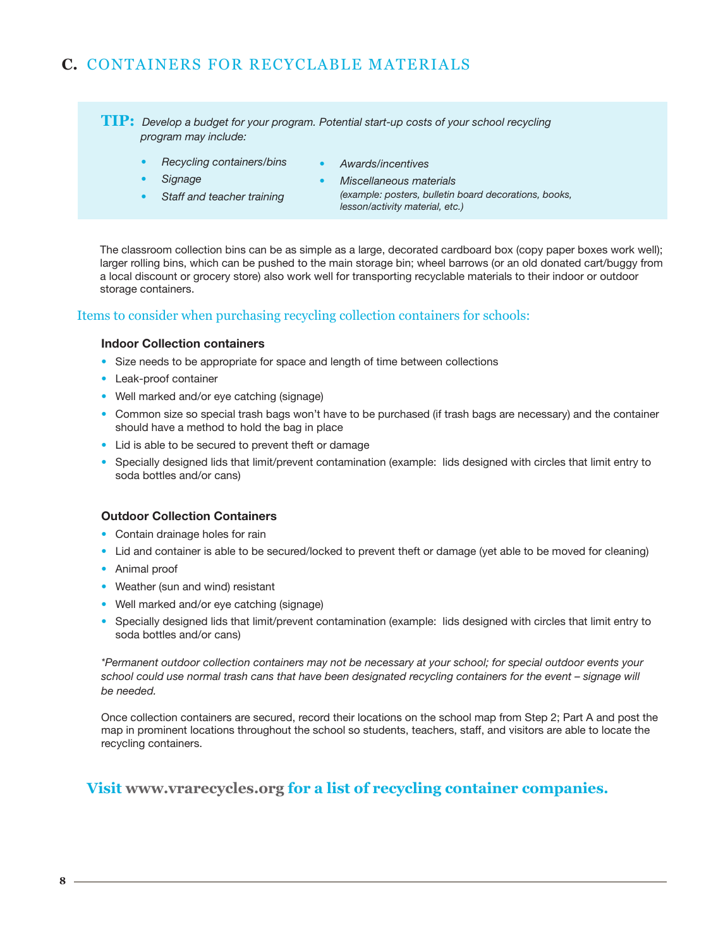# **C.** Containers for Recyclable Materials

**TIP:** *Develop a budget for your program. Potential start-up costs of your school recycling program may include:*

- *• Recycling containers/bins*
- *• Awards/incentives*

- *• Signage*
- *• Staff and teacher training*
- *• Miscellaneous materials (example: posters, bulletin board decorations, books, lesson/activity material, etc.)*

The classroom collection bins can be as simple as a large, decorated cardboard box (copy paper boxes work well); larger rolling bins, which can be pushed to the main storage bin; wheel barrows (or an old donated cart/buggy from a local discount or grocery store) also work well for transporting recyclable materials to their indoor or outdoor storage containers.

### Items to consider when purchasing recycling collection containers for schools:

#### **Indoor Collection containers**

- Size needs to be appropriate for space and length of time between collections
- Leak-proof container
- Well marked and/or eye catching (signage)
- Common size so special trash bags won't have to be purchased (if trash bags are necessary) and the container should have a method to hold the bag in place
- Lid is able to be secured to prevent theft or damage
- Specially designed lids that limit/prevent contamination (example: lids designed with circles that limit entry to soda bottles and/or cans)

#### **Outdoor Collection Containers**

- Contain drainage holes for rain
- Lid and container is able to be secured/locked to prevent theft or damage (yet able to be moved for cleaning)
- Animal proof
- Weather (sun and wind) resistant
- Well marked and/or eye catching (signage)
- Specially designed lids that limit/prevent contamination (example: lids designed with circles that limit entry to soda bottles and/or cans)

*\*Permanent outdoor collection containers may not be necessary at your school; for special outdoor events your school could use normal trash cans that have been designated recycling containers for the event – signage will be needed.*

Once collection containers are secured, record their locations on the school map from Step 2; Part A and post the map in prominent locations throughout the school so students, teachers, staff, and visitors are able to locate the recycling containers.

# **Visit www.vrarecycles.org for a list of recycling container companies.**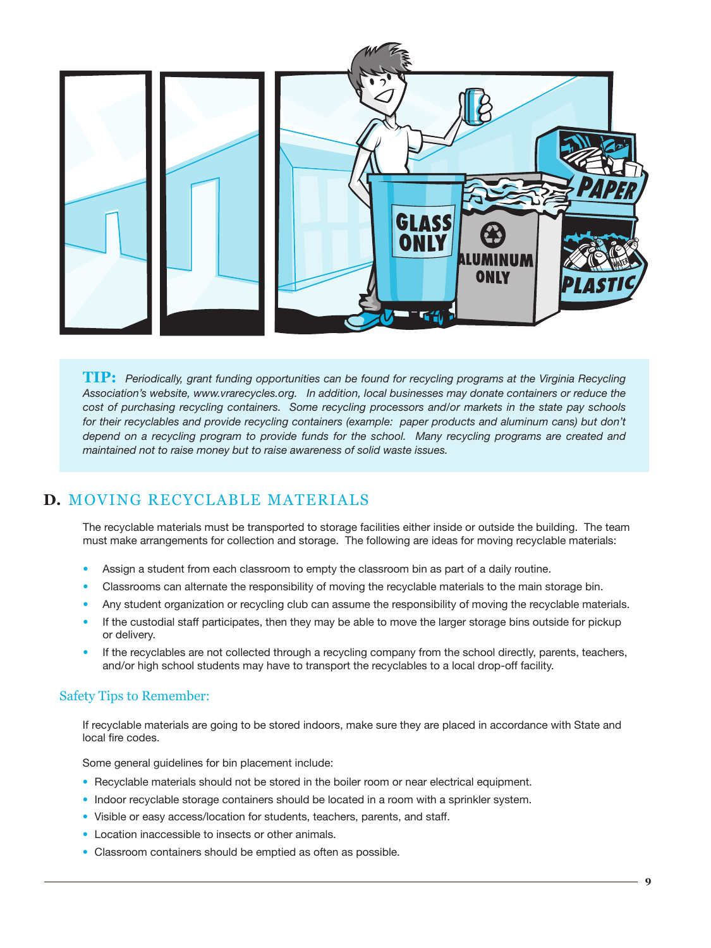

**TIP:** *Periodically, grant funding opportunities can be found for recycling programs at the Virginia Recycling Association's website, www.vrarecycles.org. In addition, local businesses may donate containers or reduce the cost of purchasing recycling containers. Some recycling processors and/or markets in the state pay schools*  for their recyclables and provide recycling containers (example: paper products and aluminum cans) but don't *depend on a recycling program to provide funds for the school. Many recycling programs are created and maintained not to raise money but to raise awareness of solid waste issues.* 

# **D.** Moving Recyclable Materials

The recyclable materials must be transported to storage facilities either inside or outside the building. The team must make arrangements for collection and storage. The following are ideas for moving recyclable materials:

- Assign a student from each classroom to empty the classroom bin as part of a daily routine.
- Classrooms can alternate the responsibility of moving the recyclable materials to the main storage bin.
- Any student organization or recycling club can assume the responsibility of moving the recyclable materials.
- If the custodial staff participates, then they may be able to move the larger storage bins outside for pickup or delivery.
- If the recyclables are not collected through a recycling company from the school directly, parents, teachers, and/or high school students may have to transport the recyclables to a local drop-off facility.

### Safety Tips to Remember:

If recyclable materials are going to be stored indoors, make sure they are placed in accordance with State and local fire codes.

Some general guidelines for bin placement include:

- Recyclable materials should not be stored in the boiler room or near electrical equipment.
- Indoor recyclable storage containers should be located in a room with a sprinkler system.
- Visible or easy access/location for students, teachers, parents, and staff.
- Location inaccessible to insects or other animals.
- Classroom containers should be emptied as often as possible.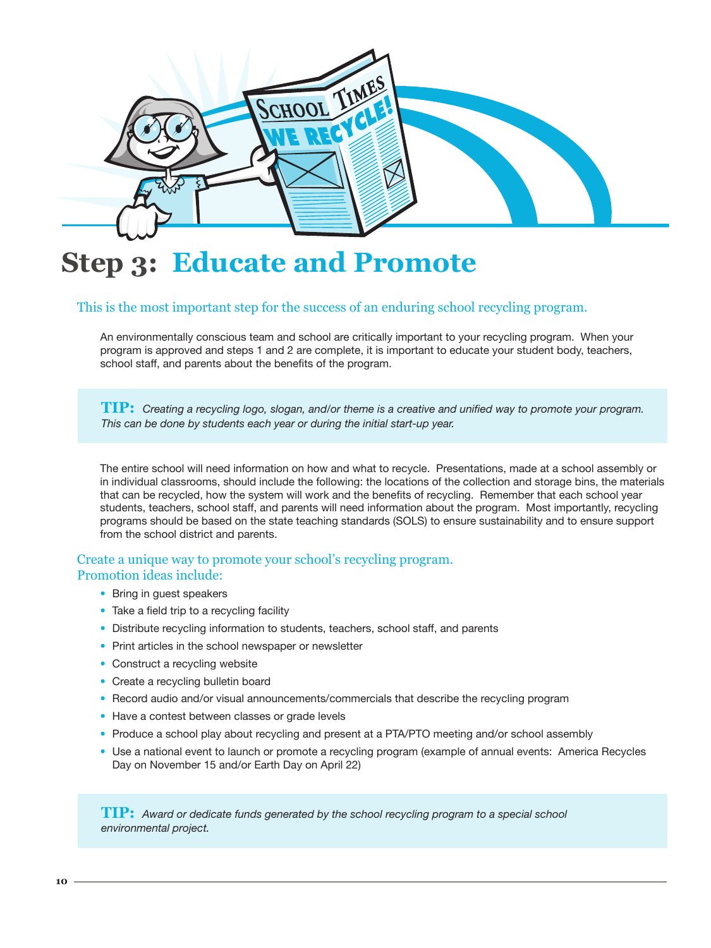

# **Step 3: Educate and Promote**

### This is the most important step for the success of an enduring school recycling program.

An environmentally conscious team and school are critically important to your recycling program. When your program is approved and steps 1 and 2 are complete, it is important to educate your student body, teachers, school staff, and parents about the benefits of the program.

**TIP:** *Creating a recycling logo, slogan, and/or theme is a creative and unified way to promote your program. This can be done by students each year or during the initial start-up year.*

The entire school will need information on how and what to recycle. Presentations, made at a school assembly or in individual classrooms, should include the following: the locations of the collection and storage bins, the materials that can be recycled, how the system will work and the benefits of recycling. Remember that each school year students, teachers, school staff, and parents will need information about the program. Most importantly, recycling programs should be based on the state teaching standards (SOLS) to ensure sustainability and to ensure support from the school district and parents.

### Create a unique way to promote your school's recycling program. Promotion ideas include:

- Bring in guest speakers
- Take a field trip to a recycling facility
- Distribute recycling information to students, teachers, school staff, and parents
- Print articles in the school newspaper or newsletter
- Construct a recycling website
- Create a recycling bulletin board
- Record audio and/or visual announcements/commercials that describe the recycling program
- Have a contest between classes or grade levels
- Produce a school play about recycling and present at a PTA/PTO meeting and/or school assembly
- Use a national event to launch or promote a recycling program (example of annual events: America Recycles Day on November 15 and/or Earth Day on April 22)

**TIP:** *Award or dedicate funds generated by the school recycling program to a special school environmental project.*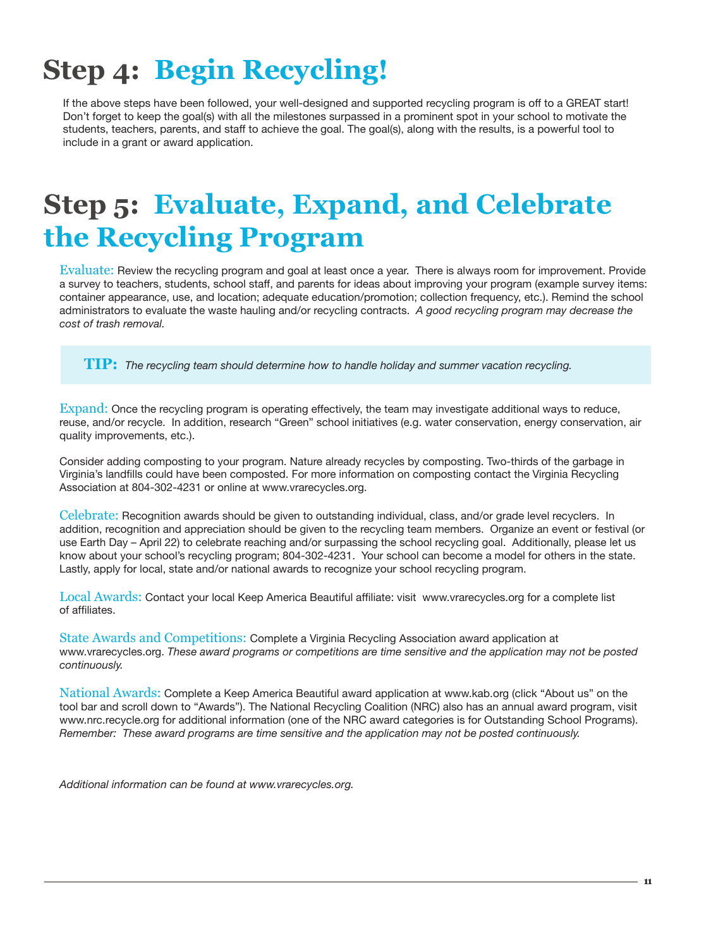# **Step 4: Begin Recycling!**

If the above steps have been followed, your well-designed and supported recycling program is off to a GREAT start! Don't forget to keep the goal(s) with all the milestones surpassed in a prominent spot in your school to motivate the students, teachers, parents, and staff to achieve the goal. The goal(s), along with the results, is a powerful tool to include in a grant or award application.

# **Step 5: Evaluate, Expand, and Celebrate the Recycling Program**

Evaluate: Review the recycling program and goal at least once a year. There is always room for improvement. Provide a survey to teachers, students, school staff, and parents for ideas about improving your program (example survey items: container appearance, use, and location; adequate education/promotion; collection frequency, etc.). Remind the school administrators to evaluate the waste hauling and/or recycling contracts. *A good recycling program may decrease the cost of trash removal.*

**TIP:** *The recycling team should determine how to handle holiday and summer vacation recycling.*

Expand: Once the recycling program is operating effectively, the team may investigate additional ways to reduce, reuse, and/or recycle. In addition, research "Green" school initiatives (e.g. water conservation, energy conservation, air quality improvements, etc.).

Consider adding composting to your program. Nature already recycles by composting. Two-thirds of the garbage in Virginia's landfills could have been composted. For more information on composting contact the Virginia Recycling Association at 804-302-4231 or online at www.vrarecycles.org.

Celebrate: Recognition awards should be given to outstanding individual, class, and/or grade level recyclers. In addition, recognition and appreciation should be given to the recycling team members. Organize an event or festival (or use Earth Day – April 22) to celebrate reaching and/or surpassing the school recycling goal. Additionally, please let us know about your school's recycling program; 804-302-4231. Your school can become a model for others in the state. Lastly, apply for local, state and/or national awards to recognize your school recycling program.

Local Awards: Contact your local Keep America Beautiful affiliate: visit www.vrarecycles.org for a complete list of affiliates.

State Awards and Competitions: Complete a Virginia Recycling Association award application at www.vrarecycles.org. *These award programs or competitions are time sensitive and the application may not be posted continuously.*

National Awards: Complete a Keep America Beautiful award application at www.kab.org (click "About us" on the tool bar and scroll down to "Awards"). The National Recycling Coalition (NRC) also has an annual award program, visit www.nrc.recycle.org for additional information (one of the NRC award categories is for Outstanding School Programs). *Remember: These award programs are time sensitive and the application may not be posted continuously.* 

*Additional information can be found at www.vrarecycles.org.*